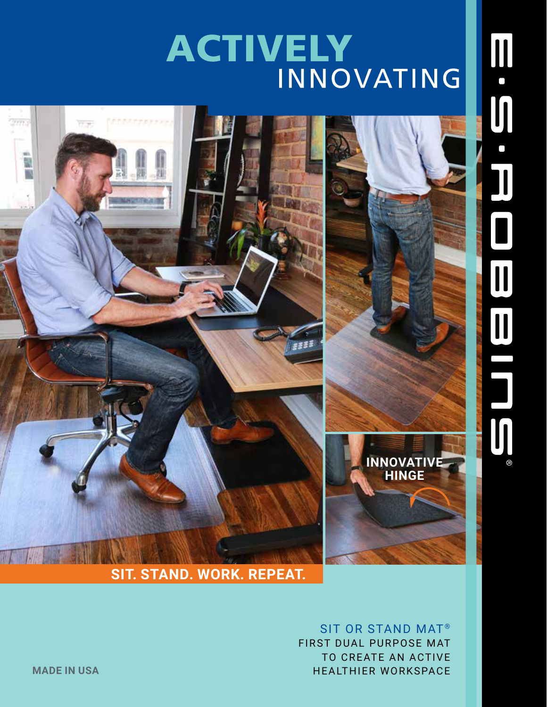## ACTIVELY



SIT OR STAND MAT<sup>®</sup> FIRST DUAL PURPOSE MAT TO CREATE AN ACTIVE **MADE IN USA** HEALTHIER WORKSPACE